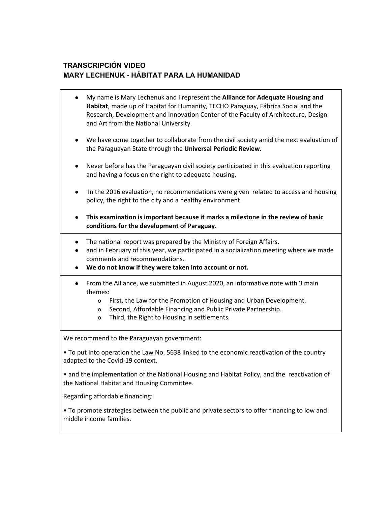## **TRANSCRIPCIÓN VIDEO MARY LECHENUK - HÁBITAT PARA LA HUMANIDAD**

|                                                                                                                                             | My name is Mary Lechenuk and I represent the Alliance for Adequate Housing and<br>Habitat, made up of Habitat for Humanity, TECHO Paraguay, Fábrica Social and the<br>Research, Development and Innovation Center of the Faculty of Architecture, Design<br>and Art from the National University. |
|---------------------------------------------------------------------------------------------------------------------------------------------|---------------------------------------------------------------------------------------------------------------------------------------------------------------------------------------------------------------------------------------------------------------------------------------------------|
|                                                                                                                                             | We have come together to collaborate from the civil society amid the next evaluation of<br>the Paraguayan State through the Universal Periodic Review.                                                                                                                                            |
|                                                                                                                                             | Never before has the Paraguayan civil society participated in this evaluation reporting<br>and having a focus on the right to adequate housing.                                                                                                                                                   |
|                                                                                                                                             | In the 2016 evaluation, no recommendations were given related to access and housing<br>policy, the right to the city and a healthy environment.                                                                                                                                                   |
| $\bullet$                                                                                                                                   | This examination is important because it marks a milestone in the review of basic<br>conditions for the development of Paraguay.                                                                                                                                                                  |
| $\bullet$                                                                                                                                   | The national report was prepared by the Ministry of Foreign Affairs.<br>and in February of this year, we participated in a socialization meeting where we made<br>comments and recommendations.<br>We do not know if they were taken into account or not.                                         |
| $\bullet$                                                                                                                                   | From the Alliance, we submitted in August 2020, an informative note with 3 main<br>themes:<br>First, the Law for the Promotion of Housing and Urban Development.<br>0<br>Second, Affordable Financing and Public Private Partnership.<br>0<br>Third, the Right to Housing in settlements.<br>0    |
| We recommend to the Paraguayan government:                                                                                                  |                                                                                                                                                                                                                                                                                                   |
| . To put into operation the Law No. 5638 linked to the economic reactivation of the country<br>adapted to the Covid-19 context.             |                                                                                                                                                                                                                                                                                                   |
| • and the implementation of the National Housing and Habitat Policy, and the reactivation of<br>the National Habitat and Housing Committee. |                                                                                                                                                                                                                                                                                                   |
| Regarding affordable financing:                                                                                                             |                                                                                                                                                                                                                                                                                                   |
| • To promote strategies between the public and private sectors to offer financing to low and<br>middle income families.                     |                                                                                                                                                                                                                                                                                                   |